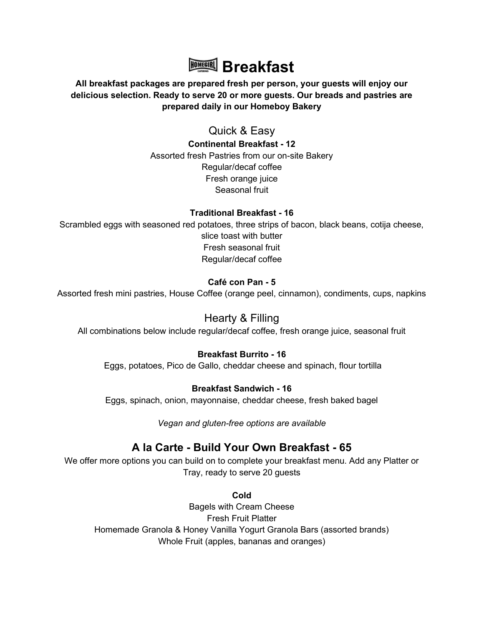

## All breakfast packages are prepared fresh per person, your guests will enjoy our delicious selection. Ready to serve 20 or more guests. Our breads and pastries are prepared daily in our Homeboy Bakery

Quick & Easy Continental Breakfast - 12 Assorted fresh Pastries from our on-site Bakery Regular/decaf coffee Fresh orange juice Seasonal fruit

### Traditional Breakfast - 16

Scrambled eggs with seasoned red potatoes, three strips of bacon, black beans, cotija cheese, slice toast with butter Fresh seasonal fruit Regular/decaf coffee

## Café con Pan - 5

Assorted fresh mini pastries, House Coffee (orange peel, cinnamon), condiments, cups, napkins

# Hearty & Filling

All combinations below include regular/decaf coffee, fresh orange juice, seasonal fruit

### Breakfast Burrito - 16

Eggs, potatoes, Pico de Gallo, cheddar cheese and spinach, flour tortilla

#### Breakfast Sandwich - 16

Eggs, spinach, onion, mayonnaise, cheddar cheese, fresh baked bagel

Vegan and gluten-free options are available

# A la Carte - Build Your Own Breakfast - 65

We offer more options you can build on to complete your breakfast menu. Add any Platter or Tray, ready to serve 20 guests

Cold

Bagels with Cream Cheese Fresh Fruit Platter Homemade Granola & Honey Vanilla Yogurt Granola Bars (assorted brands) Whole Fruit (apples, bananas and oranges)